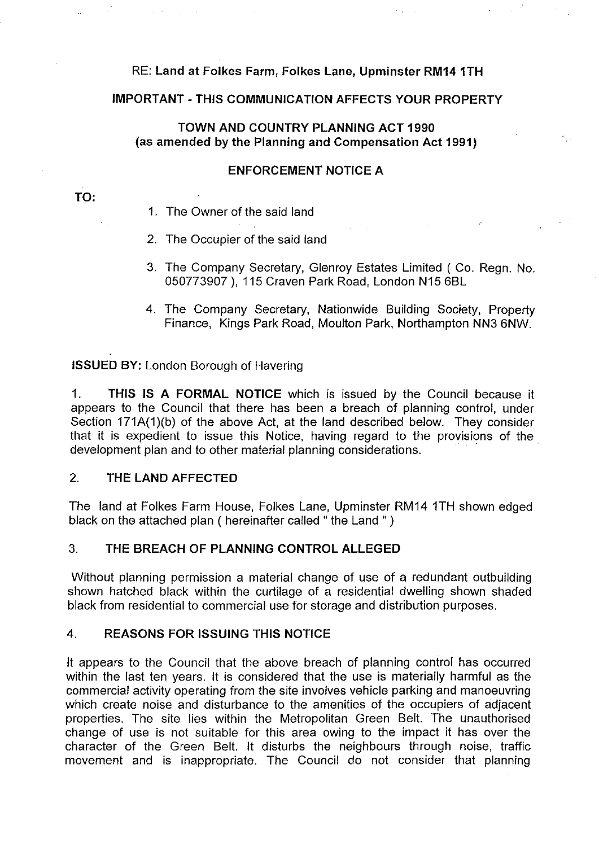# RE: **Land at Folkes Farm, Folkes Lane, Upminster RM14 1TH**

# **IMPORTANT -THIS COMMUNICATION AFFECTS YOUR PROPERTY**

## **TOWN AND COUNTRY PLANNING ACT 1990** (as **amended by the Planning and Compensation Act 1991)**

#### **ENFORCEMENT NOTICE A**

## **TO:**

- 1. The Owner of the said land
- 2. The Occupier of the said land
- 3. The Company Secretary, Glenroy Estates Limited (Co. Regn. No. 050773907 ), 115 Craven Park Road, London N15 6BL
- 4. The Company Secretary, Nationwide Building Society, Property Finance, Kings Park Road, Moulton Park, Northampton NN3 6NW.

**ISSUED BY:** London Borough of Havering

1. **THIS IS A FORMAL NOTICE** which is issued by the Council because it appears to the Council that there has been a breach of planning control, under Section 171A(1)(b) of the above Act, at the land described below. They consider that it is expedient to issue this Notice, having regard to the provisions of the development plan and to other material planning considerations.

#### 2. **THE LAND AFFECTED**

The land at Folkes Farm House, Folkes Lane, Upminster RM14 1TH shown edged black on the attached plan ( hereinafter called " the Land " )

# 3. **THE BREACH OF PLANNING CONTROL ALLEGED**

Without planning permission a material change of use of a redundant outbuilding shown hatched black within the curtilage of a residential dwelling shown shaded black from residential to commercial use for storage and distribution purposes.

#### 4. **REASONS FOR ISSUING THIS NOTICE**

It appears to the Council that the above breach of planning control has occurred within the last ten years. It is considered that the use is materially harmful as the commercial activity operating from the site involves vehicle parking and manoeuvring which create noise and disturbance to the amenities of the occupiers of adjacent properties. The site lies within the Metropolitan Green Belt. The unauthorised change of use is not suitable for this area owing to the impact it has over the character of the Green Belt. It disturbs the neighbours through noise, traffic movement and is inappropriate. The Council do not consider that planning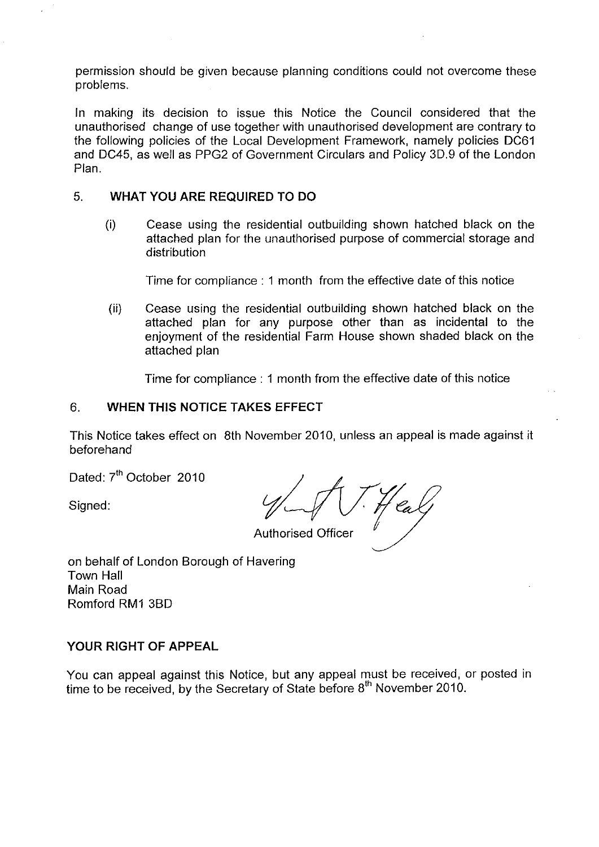permission should be given because planning conditions could not overcome these problems.

In making its decision to issue this Notice the Council considered that the unauthorised change of use together with unauthorised development are contrary to the following policies of the Local Development Framework, namely policies DC61 and DC45, as well as PPG2 of Government Circulars and Policy 30.9 of the London Plan.

# 5. **WHAT YOU ARE REQUIRED TO DO**

(i) Cease using the residential outbuilding shown hatched black on the attached plan for the unauthorised purpose of commercial storage and distribution

Time for compliance : 1 month from the effective date of this notice

(ii) Cease using the residential outbuilding shown hatched black on the attached plan for any purpose other than as incidental to the enjoyment of the residential Farm House shown shaded black on the attached plan

Time for compliance : 1 month from the effective date of this notice

## 6. **WHEN THIS NOTICE TAKES EFFECT**

This Notice takes effect on 8th November 2010, unless an appeal is made against it beforehand

Dated: 7<sup>th</sup> October 2010

Signed:

Authorised Officer

on behalf of London Borough of Havering Town Hall Main Road Romford RM1 3BD

# **YOUR RIGHT OF APPEAL**

You can appeal against this Notice, but any appeal must be received, or posted in time to be received, by the Secretary of State before  $8<sup>th</sup>$  November 2010.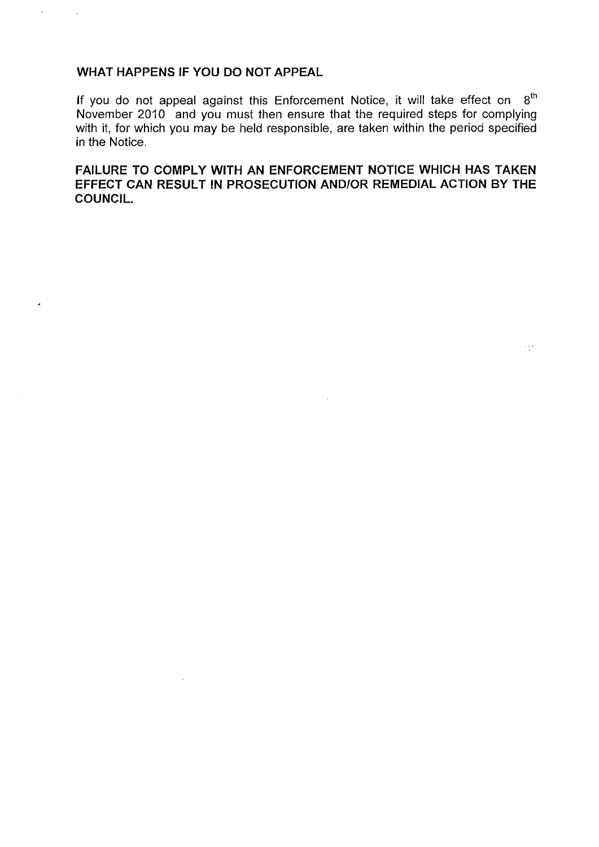# **WHAT HAPPENS IF YOU DO NOT APPEAL**

 $\bar{\mathcal{A}}$ 

 $\overline{a}$ 

 $\ddot{\phantom{a}}$ 

If you do not appeal against this Enforcement Notice, it will take effect on  $\,8^{th}$ November 2010 and you must then ensure that the required steps for complying with it, for which you may be held responsible, are taken within the period specified in the Notice.

**FAILURE TO COMPLY WITH AN ENFORCEMENT NOTICE WHICH HAS TAKEN EFFECT CAN RESULT IN PROSECUTION AND/OR REMEDIAL ACTION BY THE COUNCIL.** 

11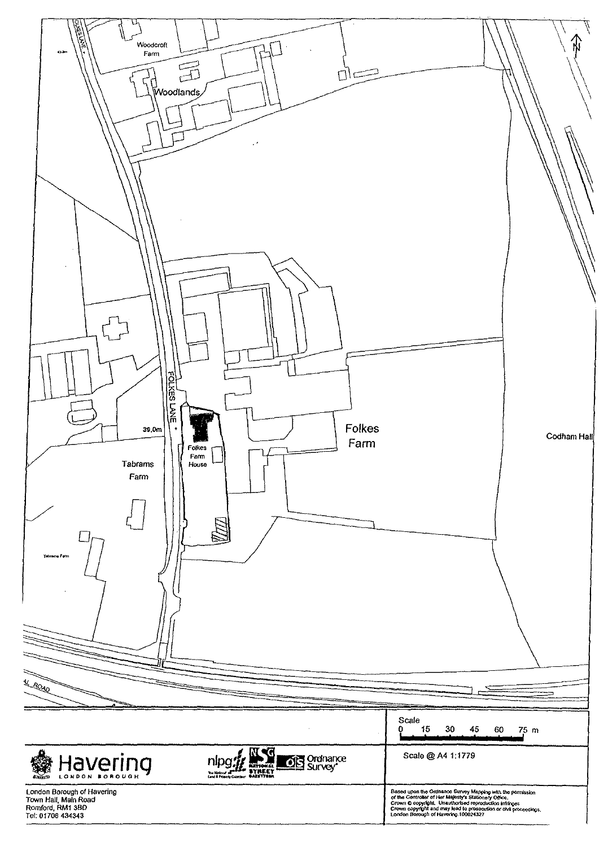| 16.00<br>Woodcroft<br>$\bullet -$<br>Farm<br>完<br>$\Box$<br>Woodlands<br>FOLKES LANE<br>Folkes<br>39.0m<br>Farm<br>Folkes<br>п<br>Farm<br>Tabrams<br>House<br>Farm<br>Tabrams Farm<br><b>KARAD</b> | Codham Hall                                                                                                                                                                                                                             |
|----------------------------------------------------------------------------------------------------------------------------------------------------------------------------------------------------|-----------------------------------------------------------------------------------------------------------------------------------------------------------------------------------------------------------------------------------------|
|                                                                                                                                                                                                    | Scale<br>15<br>30<br>45<br>0<br>75 m<br>60                                                                                                                                                                                              |
| $\widehat{\mathbb{Q}}$ ,                                                                                                                                                                           | Scale @ A4 1:1779                                                                                                                                                                                                                       |
| <b>DES</b> Ordnance<br>Havering<br>nipg<br><b>RATIONAL</b><br>The National Americans<br>Cand & Property Collective<br>$\sum_{n=1}^{\infty}$                                                        |                                                                                                                                                                                                                                         |
| London Borough of Havering<br>Town Hall, Main Road<br>Romford, RM1 3BD<br>Tel: 01708 434343                                                                                                        | Based upon the Ordnance Survey Mapping with the permission<br>of the Controller of Her Malesty's Stationery Office.<br>Crown © copyright and may lead to prosecution infringes<br>Crown © copyright and may lead to prosecution or clvi |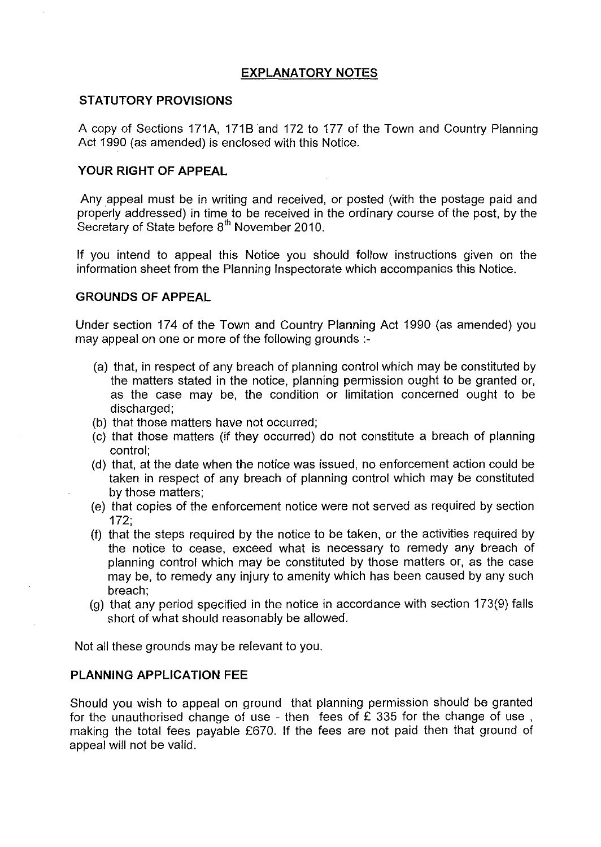## **EXPLANATORY NOTES**

#### **STATUTORY PROVISIONS**

A copy of Sections 171A, 171B and 172 to 177 of the Town and Country Planning Act 1990 (as amended) is enclosed with this Notice.

## **YOUR RIGHT OF APPEAL**

Any appeal must be in writing and received, or posted (with the postage paid and properly addressed) in time to be received in the ordinary course of the post, by the Secretary of State before 8<sup>th</sup> November 2010.

If you intend to appeal this Notice you should follow instructions given on the information sheet from the Planning Inspectorate which accompanies this Notice.

## **GROUNDS OF APPEAL**

Under section 174 of the Town and Country Planning Act 1990 (as amended) you may appeal on one or more of the following grounds :

- (a) that, in respect of any breach of planning control which may be constituted by the matters stated in the notice, planning permission ought to be granted or, as the case may be, the condition or limitation concerned ought to be discharged;
- (b) that those matters have not occurred;
- (c) that those matters (if they occurred) do not constitute a breach of planning control;
- (d) that, at the date when the notice was issued, no enforcement action could be taken in respect of any breach of planning control which may be constituted by those matters;
- (e) that copies of the enforcement notice were not served as required by section 172;
- (f) that the steps required by the notice to be taken, or the activities required by the notice to cease, exceed what is necessary to remedy any breach of planning control which may be constituted by those matters or, as the case may be, to remedy any injury to amenity which has been caused by any such breach;
- (g) that any period specified in the notice in accordance with section 173(9) falls short of what should reasonably be allowed.

Not all these grounds may be relevant to you.

#### **PLANNING APPLICATION FEE**

Should you wish to appeal on ground that planning permission should be granted for the unauthorised change of use - then fees of £ 335 for the change of use , making the total fees payable £670. If the fees are not paid then that ground of appeal will not be valid.